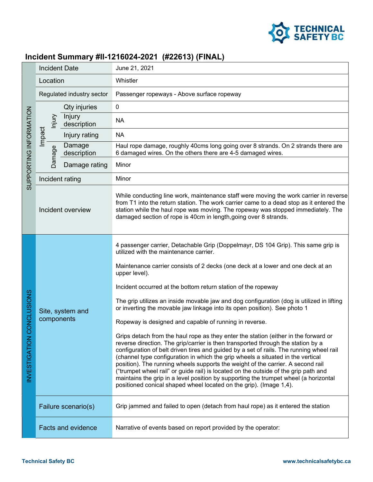

## Incident Summary #II-1216024-2021 (#22613) (FINAL)

| SUPPORTING INFORMATION                                 | <b>Incident Date</b>           |                           | June 21, 2021                                                                                                                                                                                                                                                                                                                                                                                                                                                                                                                                                                                                                                                                                                                                                                                                                                                                                                                                                                                                                                                                                                                                                                                                                         |  |  |
|--------------------------------------------------------|--------------------------------|---------------------------|---------------------------------------------------------------------------------------------------------------------------------------------------------------------------------------------------------------------------------------------------------------------------------------------------------------------------------------------------------------------------------------------------------------------------------------------------------------------------------------------------------------------------------------------------------------------------------------------------------------------------------------------------------------------------------------------------------------------------------------------------------------------------------------------------------------------------------------------------------------------------------------------------------------------------------------------------------------------------------------------------------------------------------------------------------------------------------------------------------------------------------------------------------------------------------------------------------------------------------------|--|--|
|                                                        | Location                       |                           | Whistler                                                                                                                                                                                                                                                                                                                                                                                                                                                                                                                                                                                                                                                                                                                                                                                                                                                                                                                                                                                                                                                                                                                                                                                                                              |  |  |
|                                                        | Regulated industry sector      |                           | Passenger ropeways - Above surface ropeway                                                                                                                                                                                                                                                                                                                                                                                                                                                                                                                                                                                                                                                                                                                                                                                                                                                                                                                                                                                                                                                                                                                                                                                            |  |  |
|                                                        |                                | Qty injuries              | 0                                                                                                                                                                                                                                                                                                                                                                                                                                                                                                                                                                                                                                                                                                                                                                                                                                                                                                                                                                                                                                                                                                                                                                                                                                     |  |  |
|                                                        | Nnjury                         | Injury<br>description     | <b>NA</b>                                                                                                                                                                                                                                                                                                                                                                                                                                                                                                                                                                                                                                                                                                                                                                                                                                                                                                                                                                                                                                                                                                                                                                                                                             |  |  |
|                                                        | Impact                         | Injury rating             | <b>NA</b>                                                                                                                                                                                                                                                                                                                                                                                                                                                                                                                                                                                                                                                                                                                                                                                                                                                                                                                                                                                                                                                                                                                                                                                                                             |  |  |
|                                                        | <b>Damage</b>                  | Damage<br>description     | Haul rope damage, roughly 40cms long going over 8 strands. On 2 strands there are<br>6 damaged wires. On the others there are 4-5 damaged wires.                                                                                                                                                                                                                                                                                                                                                                                                                                                                                                                                                                                                                                                                                                                                                                                                                                                                                                                                                                                                                                                                                      |  |  |
|                                                        |                                | Damage rating             | Minor                                                                                                                                                                                                                                                                                                                                                                                                                                                                                                                                                                                                                                                                                                                                                                                                                                                                                                                                                                                                                                                                                                                                                                                                                                 |  |  |
|                                                        | Incident rating                |                           | Minor                                                                                                                                                                                                                                                                                                                                                                                                                                                                                                                                                                                                                                                                                                                                                                                                                                                                                                                                                                                                                                                                                                                                                                                                                                 |  |  |
|                                                        | Incident overview              |                           | While conducting line work, maintenance staff were moving the work carrier in reverse<br>from T1 into the return station. The work carrier came to a dead stop as it entered the<br>station while the haul rope was moving. The ropeway was stopped immediately. The<br>damaged section of rope is 40cm in length, going over 8 strands.                                                                                                                                                                                                                                                                                                                                                                                                                                                                                                                                                                                                                                                                                                                                                                                                                                                                                              |  |  |
| CONCLUSIONS<br><b>INVESTIGATION</b>                    | Site, system and<br>components |                           | 4 passenger carrier, Detachable Grip (Doppelmayr, DS 104 Grip). This same grip is<br>utilized with the maintenance carrier.<br>Maintenance carrier consists of 2 decks (one deck at a lower and one deck at an<br>upper level).<br>Incident occurred at the bottom return station of the ropeway<br>The grip utilizes an inside movable jaw and dog configuration (dog is utilized in lifting<br>or inverting the movable jaw linkage into its open position). See photo 1<br>Ropeway is designed and capable of running in reverse.<br>Grips detach from the haul rope as they enter the station (either in the forward or<br>reverse direction. The grip/carrier is then transported through the station by a<br>configuration of belt driven tires and guided by a set of rails. The running wheel rail<br>(channel type configuration in which the grip wheels a situated in the vertical<br>position). The running wheels supports the weight of the carrier. A second rail<br>("trumpet wheel rail" or guide rail) is located on the outside of the grip path and<br>maintains the grip in a level position by supporting the trumpet wheel (a horizontal<br>positioned conical shaped wheel located on the grip). (Image 1,4). |  |  |
|                                                        | Failure scenario(s)            |                           | Grip jammed and failed to open (detach from haul rope) as it entered the station                                                                                                                                                                                                                                                                                                                                                                                                                                                                                                                                                                                                                                                                                                                                                                                                                                                                                                                                                                                                                                                                                                                                                      |  |  |
|                                                        |                                | <b>Facts and evidence</b> | Narrative of events based on report provided by the operator:                                                                                                                                                                                                                                                                                                                                                                                                                                                                                                                                                                                                                                                                                                                                                                                                                                                                                                                                                                                                                                                                                                                                                                         |  |  |
| <b>Technical Safety BC</b><br>www.technicalsafetybc.ca |                                |                           |                                                                                                                                                                                                                                                                                                                                                                                                                                                                                                                                                                                                                                                                                                                                                                                                                                                                                                                                                                                                                                                                                                                                                                                                                                       |  |  |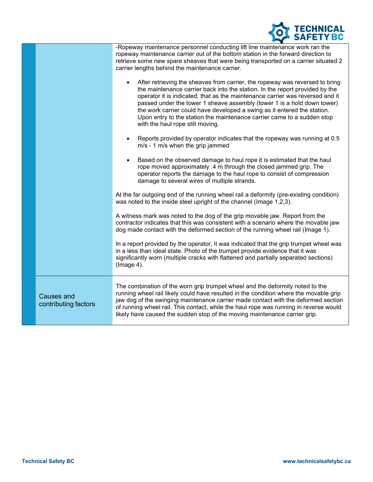

|                                           | -Ropeway maintenance personnel conducting lift line maintenance work ran the<br>ropeway maintenance carrier out of the bottom station in the forward direction to<br>retrieve some new spare sheaves that were being transported on a carrier situated 2<br>carrier lengths behind the maintenance carrier.                                                                                                                                                                                                                      |
|-------------------------------------------|----------------------------------------------------------------------------------------------------------------------------------------------------------------------------------------------------------------------------------------------------------------------------------------------------------------------------------------------------------------------------------------------------------------------------------------------------------------------------------------------------------------------------------|
|                                           | After retrieving the sheaves from carrier, the ropeway was reversed to bring<br>$\bullet$<br>the maintenance carrier back into the station. In the report provided by the<br>operator it is indicated, that as the maintenance carrier was reversed and it<br>passed under the tower 1 sheave assembly (tower 1 is a hold down tower)<br>the work carrier could have developed a swing as it entered the station.<br>Upon entry to the station the maintenance carrier came to a sudden stop<br>with the haul rope still moving. |
|                                           | Reports provided by operator indicates that the ropeway was running at 0.5<br>٠<br>m/s - 1 m/s when the grip jammed                                                                                                                                                                                                                                                                                                                                                                                                              |
|                                           | Based on the observed damage to haul rope it is estimated that the haul<br>$\bullet$<br>rope moved approximately .4 m through the closed jammed grip. The<br>operator reports the damage to the haul rope to consist of compression<br>damage to several wires of multiple strands.                                                                                                                                                                                                                                              |
|                                           | At the far outgoing end of the running wheel rail a deformity (pre-existing condition)<br>was noted to the inside steel upright of the channel (Image 1,2,3).                                                                                                                                                                                                                                                                                                                                                                    |
|                                           | A witness mark was noted to the dog of the grip movable jaw. Report from the<br>contractor indicates that this was consistent with a scenario where the movable jaw<br>dog made contact with the deformed section of the running wheel rail (Image 1).                                                                                                                                                                                                                                                                           |
|                                           | In a report provided by the operator, it was indicated that the grip trumpet wheel was<br>in a less than ideal state. Photo of the trumpet provide evidence that it was<br>significantly worn (multiple cracks with flattened and partially separated sections)<br>(Image 4).                                                                                                                                                                                                                                                    |
| <b>Causes and</b><br>contributing factors | The combination of the worn grip trumpet wheel and the deformity noted to the<br>running wheel rail likely could have resulted in the condition where the movable grip<br>jaw dog of the swinging maintenance carrier made contact with the deformed section<br>of running wheel rail. This contact, while the haul rope was running in reverse would<br>likely have caused the sudden stop of the moving maintenance carrier grip.                                                                                              |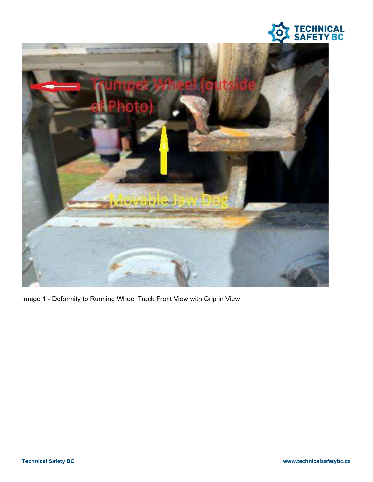



Image 1 - Deformity to Running Wheel Track Front View with Grip in View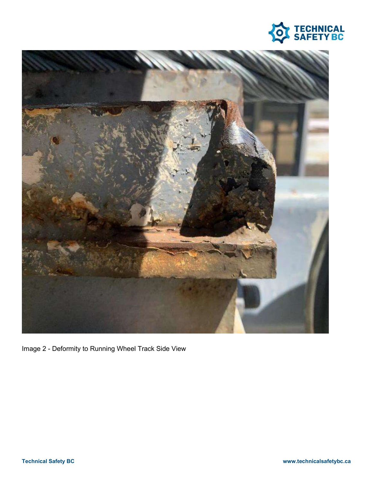



Image 2 - Deformity to Running Wheel Track Side View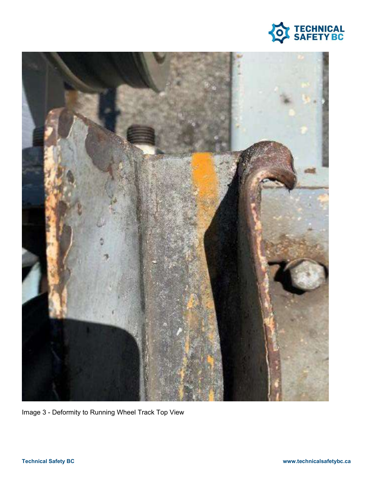



Image 3 - Deformity to Running Wheel Track Top View